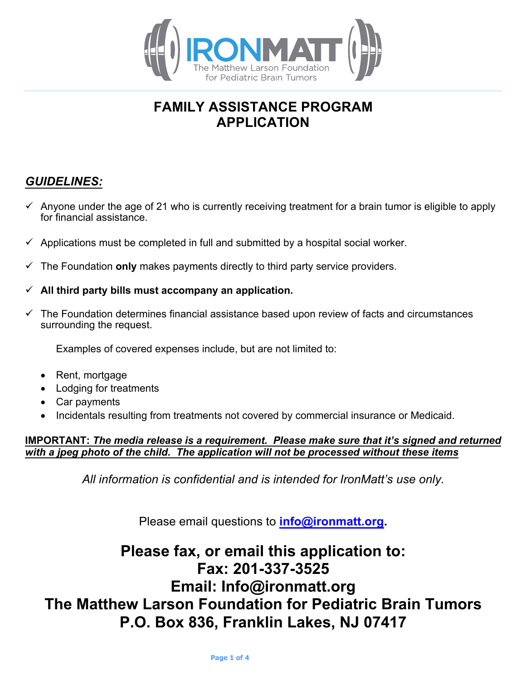

## **FAMILY ASSISTANCE PROGRAM APPLICATION**

### *GUIDELINES:*

- $\checkmark$  Anyone under the age of 21 who is currently receiving treatment for a brain tumor is eligible to apply for financial assistance.
- $\checkmark$  Applications must be completed in full and submitted by a hospital social worker.
- $\checkmark$  The Foundation only makes payments directly to third party service providers.
- $\checkmark$  All third party bills must accompany an application.
- ü The Foundation determines financial assistance based upon review of facts and circumstances surrounding the request.

Examples of covered expenses include, but are not limited to:

- Rent, mortgage
- Lodging for treatments
- Car payments
- Incidentals resulting from treatments not covered by commercial insurance or Medicaid.

#### **IMPORTANT:** *The media release is a requirement. Please make sure that it's signed and returned with a jpeg photo of the child. The application will not be processed without these items*

*All information is confidential and is intended for IronMatt's use only.*

Please email questions to **info@ironmatt.org.**

# **Please fax, or email this application to: Fax: 201-337-3525 Email: Info@ironmatt.org The Matthew Larson Foundation for Pediatric Brain Tumors P.O. Box 836, Franklin Lakes, NJ 07417**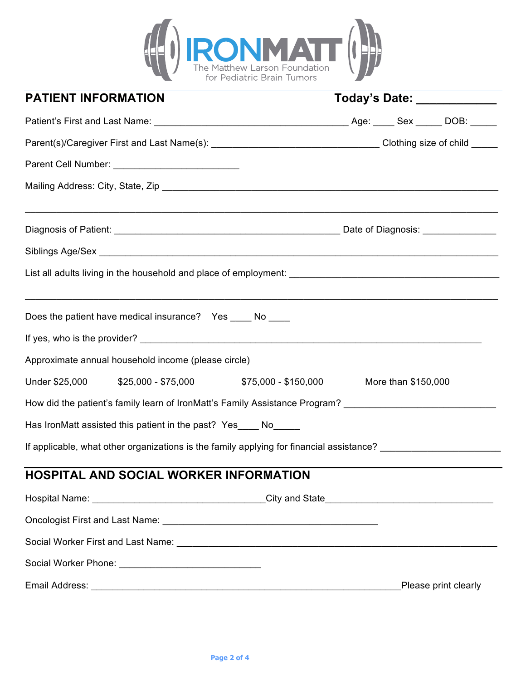

| <b>PATIENT INFORMATION</b>                                                                                     | Today's Date: ____________                                                       |
|----------------------------------------------------------------------------------------------------------------|----------------------------------------------------------------------------------|
|                                                                                                                |                                                                                  |
|                                                                                                                |                                                                                  |
|                                                                                                                |                                                                                  |
|                                                                                                                |                                                                                  |
|                                                                                                                |                                                                                  |
|                                                                                                                |                                                                                  |
|                                                                                                                |                                                                                  |
| Does the patient have medical insurance?  Yes ____ No ____                                                     | ,我们也不会有什么。""我们的人,我们也不会有什么?""我们的人,我们也不会有什么?""我们的人,我们也不会有什么?""我们的人,我们也不会有什么?""我们的人 |
|                                                                                                                |                                                                                  |
| Approximate annual household income (please circle)                                                            |                                                                                  |
|                                                                                                                | More than \$150,000                                                              |
| How did the patient's family learn of IronMatt's Family Assistance Program? __________________________________ |                                                                                  |
| Has IronMatt assisted this patient in the past? Yes ____ No_____                                               |                                                                                  |
| If applicable, what other organizations is the family applying for financial assistance? _____________________ |                                                                                  |
| HOSPITAL AND SOCIAL WORKER INFORMATION                                                                         |                                                                                  |
|                                                                                                                |                                                                                  |
|                                                                                                                |                                                                                  |
|                                                                                                                |                                                                                  |
| Social Worker Phone: ___________________________________                                                       |                                                                                  |
|                                                                                                                | Please print clearly                                                             |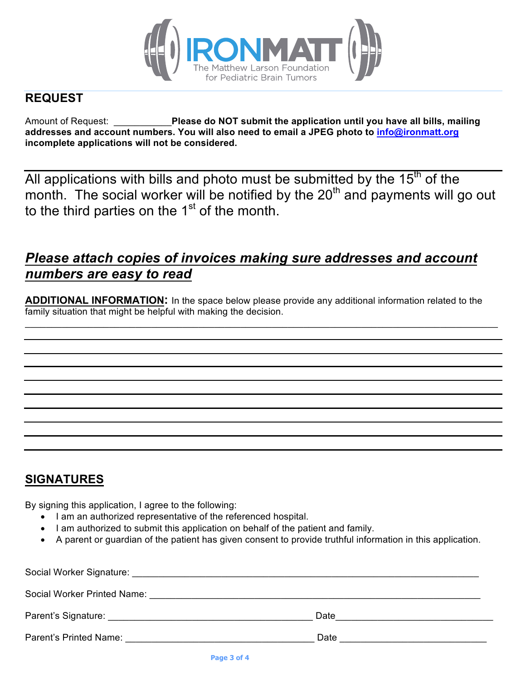

### **REQUEST**

Amount of Request: \_\_\_\_\_\_\_\_\_\_\_**Please do NOT submit the application until you have all bills, mailing addresses and account numbers. You will also need to email a JPEG photo to info@ironmatt.org incomplete applications will not be considered.** 

All applications with bills and photo must be submitted by the  $15<sup>th</sup>$  of the month. The social worker will be notified by the  $20<sup>th</sup>$  and payments will go out to the third parties on the  $1<sup>st</sup>$  of the month.

## *Please attach copies of invoices making sure addresses and account numbers are easy to read*

**ADDITIONAL INFORMATION:** In the space below please provide any additional information related to the family situation that might be helpful with making the decision.

 $\mathcal{L}_\mathcal{L} = \mathcal{L}_\mathcal{L} = \mathcal{L}_\mathcal{L} = \mathcal{L}_\mathcal{L} = \mathcal{L}_\mathcal{L} = \mathcal{L}_\mathcal{L} = \mathcal{L}_\mathcal{L} = \mathcal{L}_\mathcal{L} = \mathcal{L}_\mathcal{L} = \mathcal{L}_\mathcal{L} = \mathcal{L}_\mathcal{L} = \mathcal{L}_\mathcal{L} = \mathcal{L}_\mathcal{L} = \mathcal{L}_\mathcal{L} = \mathcal{L}_\mathcal{L} = \mathcal{L}_\mathcal{L} = \mathcal{L}_\mathcal{L}$ 

### **SIGNATURES**

By signing this application, I agree to the following:

- I am an authorized representative of the referenced hospital.
- I am authorized to submit this application on behalf of the patient and family.
- A parent or guardian of the patient has given consent to provide truthful information in this application.

| Social Worker Signature: And the Social Worker Signature:                                                                                                                                                                      |      |
|--------------------------------------------------------------------------------------------------------------------------------------------------------------------------------------------------------------------------------|------|
| Social Worker Printed Name: Name: Name of the Social Worker Printed Name:                                                                                                                                                      |      |
|                                                                                                                                                                                                                                | Date |
| Parent's Printed Name: The Contract of the Contract of the Contract of the Contract of the Contract of the Contract of the Contract of the Contract of the Contract of the Contract of the Contract of the Contract of the Con | Date |